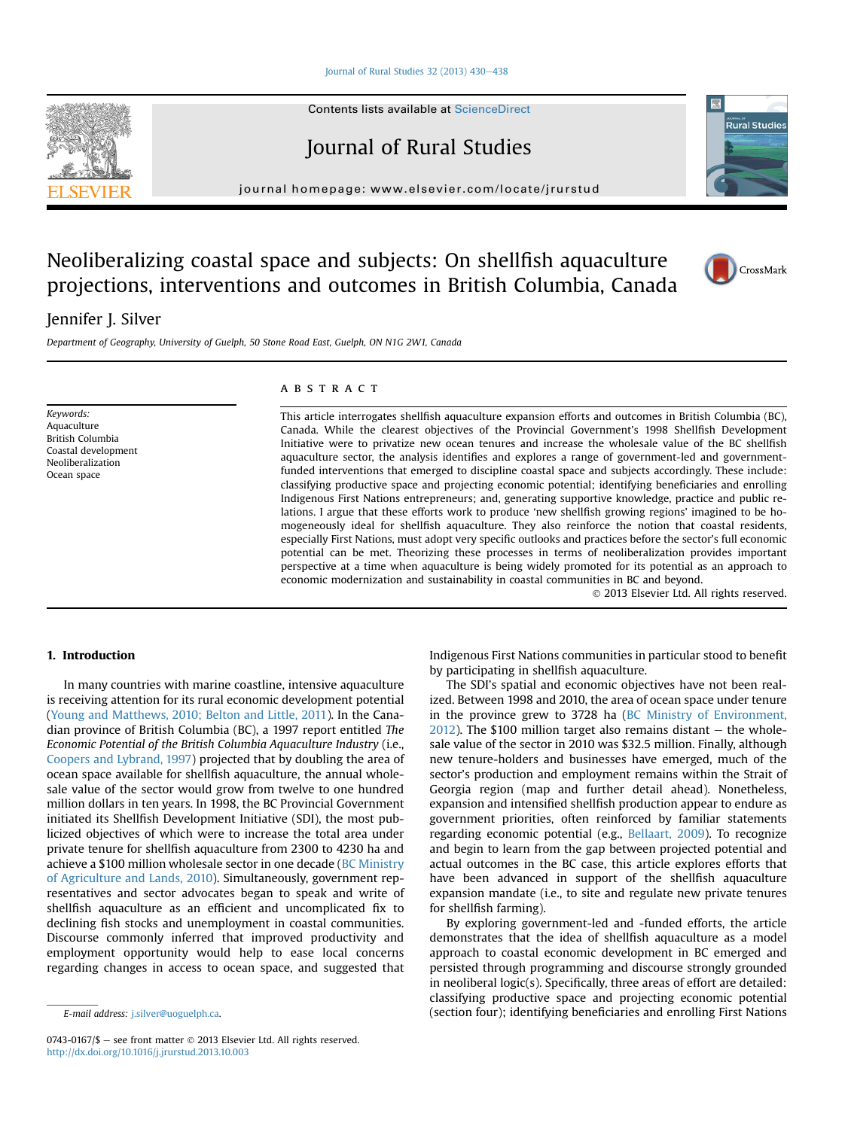Journal of Rural Studies  $32$  (2013)  $430-438$  $430-438$ 

Contents lists available at [ScienceDirect](www.sciencedirect.com/science/journal/07430167)

Journal of Rural Studies

journal homepage: [www.elsevier.com/locate/jrurstud](http://www.elsevier.com/locate/jrurstud)

# Neoliberalizing coastal space and subjects: On shellfish aquaculture projections, interventions and outcomes in British Columbia, Canada

# Jennifer J. Silver

Department of Geography, University of Guelph, 50 Stone Road East, Guelph, ON N1G 2W1, Canada

Keywords: Aquaculture British Columbia Coastal development Neoliberalization Ocean space

#### **ABSTRACT**

This article interrogates shellfish aquaculture expansion efforts and outcomes in British Columbia (BC), Canada. While the clearest objectives of the Provincial Government's 1998 Shellfish Development Initiative were to privatize new ocean tenures and increase the wholesale value of the BC shellfish aquaculture sector, the analysis identifies and explores a range of government-led and governmentfunded interventions that emerged to discipline coastal space and subjects accordingly. These include: classifying productive space and projecting economic potential; identifying beneficiaries and enrolling Indigenous First Nations entrepreneurs; and, generating supportive knowledge, practice and public relations. I argue that these efforts work to produce 'new shellfish growing regions' imagined to be homogeneously ideal for shellfish aquaculture. They also reinforce the notion that coastal residents, especially First Nations, must adopt very specific outlooks and practices before the sector's full economic potential can be met. Theorizing these processes in terms of neoliberalization provides important perspective at a time when aquaculture is being widely promoted for its potential as an approach to economic modernization and sustainability in coastal communities in BC and beyond.

2013 Elsevier Ltd. All rights reserved.

# 1. Introduction

In many countries with marine coastline, intensive aquaculture is receiving attention for its rural economic development potential ([Young and Matthews, 2010; Belton and Little, 2011\)](#page-8-0). In the Canadian province of British Columbia (BC), a 1997 report entitled The Economic Potential of the British Columbia Aquaculture Industry (i.e., [Coopers and Lybrand, 1997\)](#page-8-0) projected that by doubling the area of ocean space available for shellfish aquaculture, the annual wholesale value of the sector would grow from twelve to one hundred million dollars in ten years. In 1998, the BC Provincial Government initiated its Shellfish Development Initiative (SDI), the most publicized objectives of which were to increase the total area under private tenure for shellfish aquaculture from 2300 to 4230 ha and achieve a \$100 million wholesale sector in one decade [\(BC Ministry](#page-8-0) [of Agriculture and Lands, 2010](#page-8-0)). Simultaneously, government representatives and sector advocates began to speak and write of shellfish aquaculture as an efficient and uncomplicated fix to declining fish stocks and unemployment in coastal communities. Discourse commonly inferred that improved productivity and employment opportunity would help to ease local concerns regarding changes in access to ocean space, and suggested that Indigenous First Nations communities in particular stood to benefit by participating in shellfish aquaculture.

The SDI's spatial and economic objectives have not been realized. Between 1998 and 2010, the area of ocean space under tenure in the province grew to 3728 ha [\(BC Ministry of Environment,](#page-8-0)  $2012$ ). The \$100 million target also remains distant  $-$  the wholesale value of the sector in 2010 was \$32.5 million. Finally, although new tenure-holders and businesses have emerged, much of the sector's production and employment remains within the Strait of Georgia region (map and further detail ahead). Nonetheless, expansion and intensified shellfish production appear to endure as government priorities, often reinforced by familiar statements regarding economic potential (e.g., [Bellaart, 2009](#page-8-0)). To recognize and begin to learn from the gap between projected potential and actual outcomes in the BC case, this article explores efforts that have been advanced in support of the shellfish aquaculture expansion mandate (i.e., to site and regulate new private tenures for shellfish farming).

By exploring government-led and -funded efforts, the article demonstrates that the idea of shellfish aquaculture as a model approach to coastal economic development in BC emerged and persisted through programming and discourse strongly grounded in neoliberal logic(s). Specifically, three areas of effort are detailed: classifying productive space and projecting economic potential E-mail address: [j.silver@uoguelph.ca.](mailto:j.silver@uoguelph.ca) (section four); identifying beneficiaries and enrolling First Nations







 $0743-0167/\$$  – see front matter  $\degree$  2013 Elsevier Ltd. All rights reserved. <http://dx.doi.org/10.1016/j.jrurstud.2013.10.003>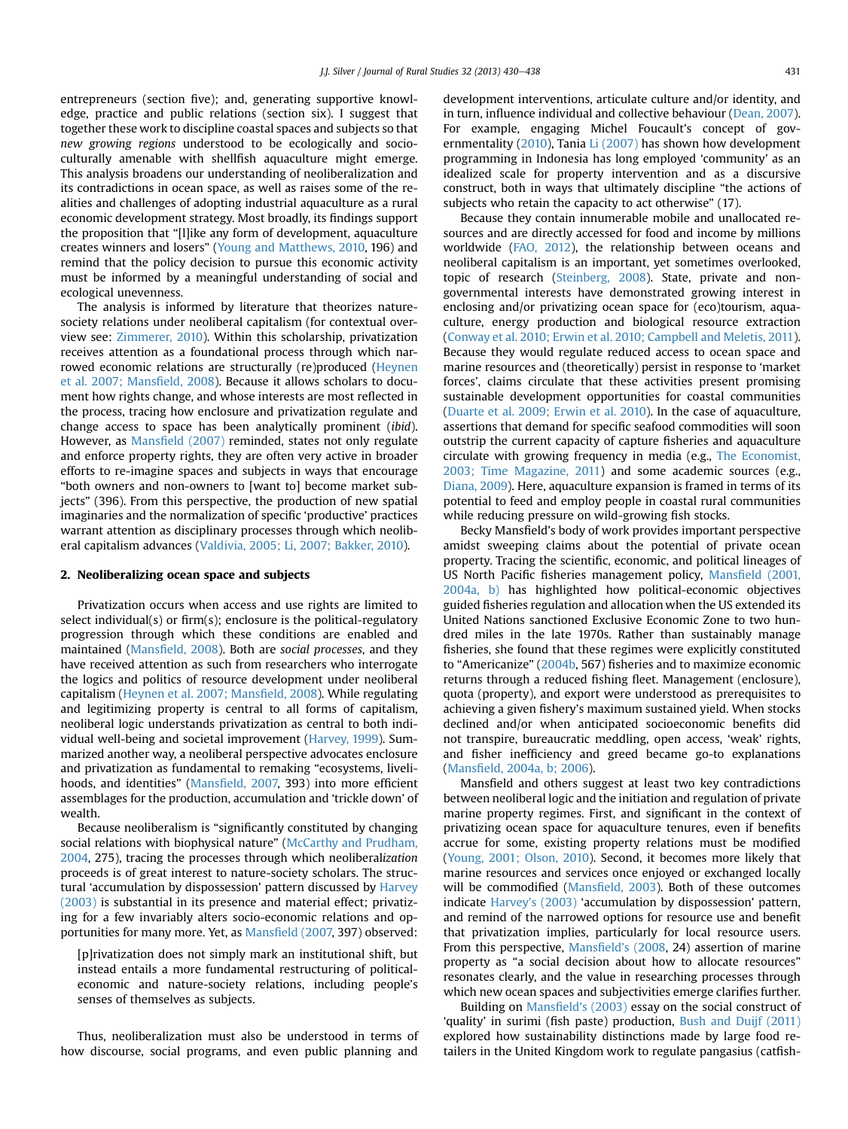entrepreneurs (section five); and, generating supportive knowledge, practice and public relations (section six). I suggest that together these work to discipline coastal spaces and subjects so that new growing regions understood to be ecologically and socioculturally amenable with shellfish aquaculture might emerge. This analysis broadens our understanding of neoliberalization and its contradictions in ocean space, as well as raises some of the realities and challenges of adopting industrial aquaculture as a rural economic development strategy. Most broadly, its findings support the proposition that "[l]ike any form of development, aquaculture creates winners and losers" ([Young and Matthews, 2010](#page-8-0), 196) and remind that the policy decision to pursue this economic activity must be informed by a meaningful understanding of social and ecological unevenness.

The analysis is informed by literature that theorizes naturesociety relations under neoliberal capitalism (for contextual overview see: [Zimmerer, 2010](#page-8-0)). Within this scholarship, privatization receives attention as a foundational process through which nar-rowed economic relations are structurally (re)produced [\(Heynen](#page-8-0) [et al. 2007; Mans](#page-8-0)field, 2008). Because it allows scholars to document how rights change, and whose interests are most reflected in the process, tracing how enclosure and privatization regulate and change access to space has been analytically prominent (ibid). However, as Mansfi[eld \(2007\)](#page-8-0) reminded, states not only regulate and enforce property rights, they are often very active in broader efforts to re-imagine spaces and subjects in ways that encourage "both owners and non-owners to [want to] become market subjects" (396). From this perspective, the production of new spatial imaginaries and the normalization of specific 'productive' practices warrant attention as disciplinary processes through which neoliberal capitalism advances [\(Valdivia, 2005; Li, 2007; Bakker, 2010](#page-8-0)).

#### 2. Neoliberalizing ocean space and subjects

Privatization occurs when access and use rights are limited to select individual(s) or firm(s); enclosure is the political-regulatory progression through which these conditions are enabled and maintained (Mansfi[eld, 2008](#page-8-0)). Both are social processes, and they have received attention as such from researchers who interrogate the logics and politics of resource development under neoliberal capitalism [\(Heynen et al. 2007; Mans](#page-8-0)field, 2008). While regulating and legitimizing property is central to all forms of capitalism, neoliberal logic understands privatization as central to both individual well-being and societal improvement ([Harvey, 1999\)](#page-8-0). Summarized another way, a neoliberal perspective advocates enclosure and privatization as fundamental to remaking "ecosystems, livelihoods, and identities" (Mansfi[eld, 2007,](#page-8-0) 393) into more efficient assemblages for the production, accumulation and 'trickle down' of wealth.

Because neoliberalism is "significantly constituted by changing social relations with biophysical nature" [\(McCarthy and Prudham,](#page-8-0) [2004,](#page-8-0) 275), tracing the processes through which neoliberalization proceeds is of great interest to nature-society scholars. The structural 'accumulation by dispossession' pattern discussed by [Harvey](#page-8-0) [\(2003\)](#page-8-0) is substantial in its presence and material effect; privatizing for a few invariably alters socio-economic relations and opportunities for many more. Yet, as Mansfi[eld \(2007,](#page-8-0) 397) observed:

[p]rivatization does not simply mark an institutional shift, but instead entails a more fundamental restructuring of politicaleconomic and nature-society relations, including people's senses of themselves as subjects.

Thus, neoliberalization must also be understood in terms of how discourse, social programs, and even public planning and development interventions, articulate culture and/or identity, and in turn, influence individual and collective behaviour [\(Dean, 2007\)](#page-8-0). For example, engaging Michel Foucault's concept of gov-ernmentality [\(2010](#page-8-0)), Tania [Li \(2007\)](#page-8-0) has shown how development programming in Indonesia has long employed 'community' as an idealized scale for property intervention and as a discursive construct, both in ways that ultimately discipline "the actions of subjects who retain the capacity to act otherwise" (17).

Because they contain innumerable mobile and unallocated resources and are directly accessed for food and income by millions worldwide ([FAO, 2012](#page-8-0)), the relationship between oceans and neoliberal capitalism is an important, yet sometimes overlooked, topic of research [\(Steinberg, 2008\)](#page-8-0). State, private and nongovernmental interests have demonstrated growing interest in enclosing and/or privatizing ocean space for (eco)tourism, aquaculture, energy production and biological resource extraction ([Conway et al. 2010; Erwin et al. 2010; Campbell and Meletis, 2011\)](#page-8-0). Because they would regulate reduced access to ocean space and marine resources and (theoretically) persist in response to 'market forces', claims circulate that these activities present promising sustainable development opportunities for coastal communities ([Duarte et al. 2009; Erwin et al. 2010\)](#page-8-0). In the case of aquaculture, assertions that demand for specific seafood commodities will soon outstrip the current capacity of capture fisheries and aquaculture circulate with growing frequency in media (e.g., [The Economist,](#page-8-0) [2003; Time Magazine, 2011\)](#page-8-0) and some academic sources (e.g., [Diana, 2009](#page-8-0)). Here, aquaculture expansion is framed in terms of its potential to feed and employ people in coastal rural communities while reducing pressure on wild-growing fish stocks.

Becky Mansfield's body of work provides important perspective amidst sweeping claims about the potential of private ocean property. Tracing the scientific, economic, and political lineages of US North Pacific fisheries management policy, Mansfi[eld \(2001,](#page-8-0) [2004a, b\)](#page-8-0) has highlighted how political-economic objectives guided fisheries regulation and allocation when the US extended its United Nations sanctioned Exclusive Economic Zone to two hundred miles in the late 1970s. Rather than sustainably manage fisheries, she found that these regimes were explicitly constituted to "Americanize" [\(2004b](#page-8-0), 567) fisheries and to maximize economic returns through a reduced fishing fleet. Management (enclosure), quota (property), and export were understood as prerequisites to achieving a given fishery's maximum sustained yield. When stocks declined and/or when anticipated socioeconomic benefits did not transpire, bureaucratic meddling, open access, 'weak' rights, and fisher inefficiency and greed became go-to explanations (Mansfi[eld, 2004a, b; 2006](#page-8-0)).

Mansfield and others suggest at least two key contradictions between neoliberal logic and the initiation and regulation of private marine property regimes. First, and significant in the context of privatizing ocean space for aquaculture tenures, even if benefits accrue for some, existing property relations must be modified ([Young, 2001; Olson, 2010\)](#page-8-0). Second, it becomes more likely that marine resources and services once enjoyed or exchanged locally will be commodified (Mansfi[eld, 2003](#page-8-0)). Both of these outcomes indicate Harvey'[s \(2003\)](#page-8-0) 'accumulation by dispossession' pattern, and remind of the narrowed options for resource use and benefit that privatization implies, particularly for local resource users. From this perspective, Mansfield'[s \(2008,](#page-8-0) 24) assertion of marine property as "a social decision about how to allocate resources" resonates clearly, and the value in researching processes through which new ocean spaces and subjectivities emerge clarifies further.

Building on Mansfield'[s \(2003\)](#page-8-0) essay on the social construct of 'quality' in surimi (fish paste) production, [Bush and Duijf \(2011\)](#page-8-0) explored how sustainability distinctions made by large food retailers in the United Kingdom work to regulate pangasius (catfish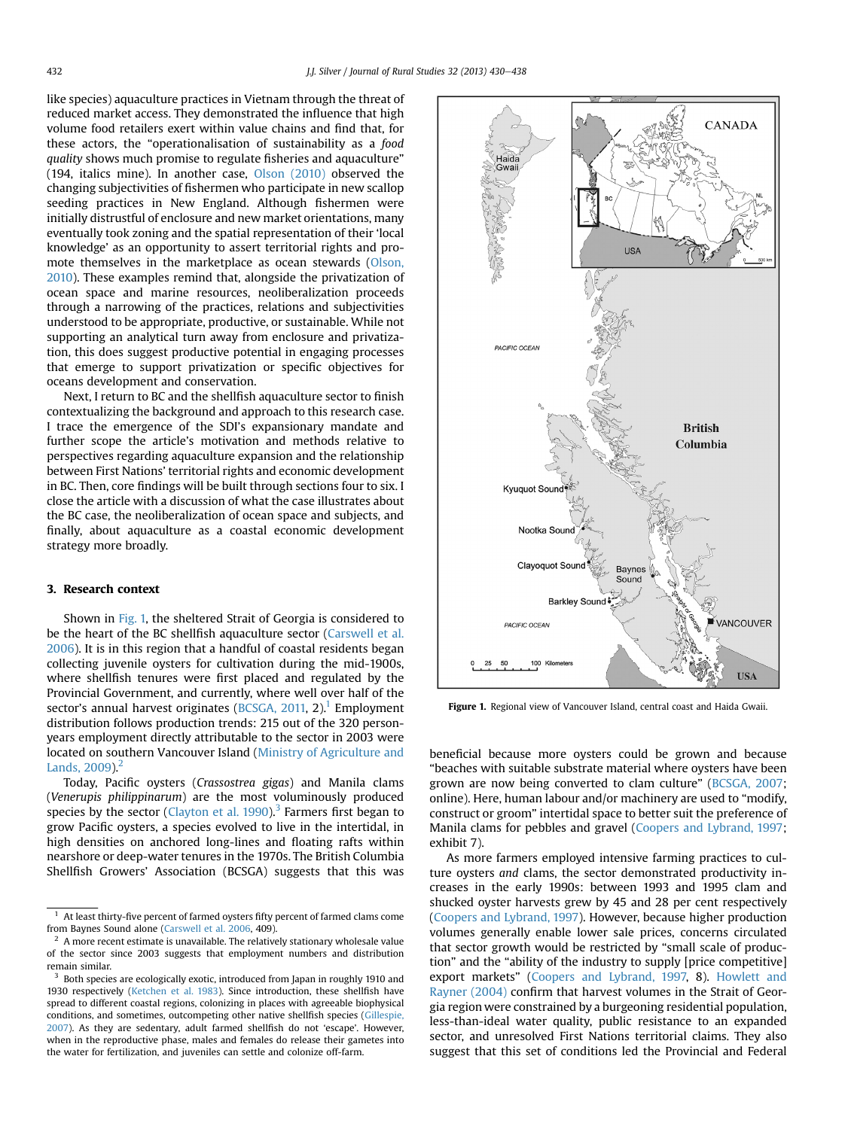like species) aquaculture practices in Vietnam through the threat of reduced market access. They demonstrated the influence that high volume food retailers exert within value chains and find that, for these actors, the "operationalisation of sustainability as a food quality shows much promise to regulate fisheries and aquaculture" (194, italics mine). In another case, [Olson \(2010\)](#page-8-0) observed the changing subjectivities of fishermen who participate in new scallop seeding practices in New England. Although fishermen were initially distrustful of enclosure and new market orientations, many eventually took zoning and the spatial representation of their 'local knowledge' as an opportunity to assert territorial rights and promote themselves in the marketplace as ocean stewards [\(Olson,](#page-8-0) [2010](#page-8-0)). These examples remind that, alongside the privatization of ocean space and marine resources, neoliberalization proceeds through a narrowing of the practices, relations and subjectivities understood to be appropriate, productive, or sustainable. While not supporting an analytical turn away from enclosure and privatization, this does suggest productive potential in engaging processes that emerge to support privatization or specific objectives for oceans development and conservation.

Next, I return to BC and the shellfish aquaculture sector to finish contextualizing the background and approach to this research case. I trace the emergence of the SDI's expansionary mandate and further scope the article's motivation and methods relative to perspectives regarding aquaculture expansion and the relationship between First Nations' territorial rights and economic development in BC. Then, core findings will be built through sections four to six. I close the article with a discussion of what the case illustrates about the BC case, the neoliberalization of ocean space and subjects, and finally, about aquaculture as a coastal economic development strategy more broadly.

### 3. Research context

Shown in Fig. 1, the sheltered Strait of Georgia is considered to be the heart of the BC shellfish aquaculture sector [\(Carswell et al.](#page-8-0) [2006](#page-8-0)). It is in this region that a handful of coastal residents began collecting juvenile oysters for cultivation during the mid-1900s, where shellfish tenures were first placed and regulated by the Provincial Government, and currently, where well over half of the sector's annual harvest originates [\(BCSGA, 2011,](#page-8-0) 2).<sup>1</sup> Employment distribution follows production trends: 215 out of the 320 personyears employment directly attributable to the sector in 2003 were located on southern Vancouver Island [\(Ministry of Agriculture and](#page-8-0) Lands,  $2009$ ).<sup>2</sup>

Today, Pacific oysters (Crassostrea gigas) and Manila clams (Venerupis philippinarum) are the most voluminously produced species by the sector (Clayton et al.  $1990$ ).<sup>3</sup> Farmers first began to grow Pacific oysters, a species evolved to live in the intertidal, in high densities on anchored long-lines and floating rafts within nearshore or deep-water tenures in the 1970s. The British Columbia Shellfish Growers' Association (BCSGA) suggests that this was



Figure 1. Regional view of Vancouver Island, central coast and Haida Gwaii.

beneficial because more oysters could be grown and because "beaches with suitable substrate material where oysters have been grown are now being converted to clam culture" [\(BCSGA, 2007](#page-8-0); online). Here, human labour and/or machinery are used to "modify, construct or groom" intertidal space to better suit the preference of Manila clams for pebbles and gravel ([Coopers and Lybrand, 1997](#page-8-0); exhibit 7).

As more farmers employed intensive farming practices to culture oysters and clams, the sector demonstrated productivity increases in the early 1990s: between 1993 and 1995 clam and shucked oyster harvests grew by 45 and 28 per cent respectively ([Coopers and Lybrand, 1997\)](#page-8-0). However, because higher production volumes generally enable lower sale prices, concerns circulated that sector growth would be restricted by "small scale of production" and the "ability of the industry to supply [price competitive] export markets" [\(Coopers and Lybrand, 1997,](#page-8-0) 8). [Howlett and](#page-8-0) [Rayner \(2004\)](#page-8-0) confirm that harvest volumes in the Strait of Georgia region were constrained by a burgeoning residential population, less-than-ideal water quality, public resistance to an expanded sector, and unresolved First Nations territorial claims. They also suggest that this set of conditions led the Provincial and Federal

 $^{-1}\,$  At least thirty-five percent of farmed oysters fifty percent of farmed clams come from Baynes Sound alone [\(Carswell et al. 2006,](#page-8-0) 409).

<sup>2</sup> A more recent estimate is unavailable. The relatively stationary wholesale value of the sector since 2003 suggests that employment numbers and distribution remain similar.

<sup>&</sup>lt;sup>3</sup> Both species are ecologically exotic, introduced from Japan in roughly 1910 and 1930 respectively [\(Ketchen et al. 1983](#page-8-0)). Since introduction, these shellfish have spread to different coastal regions, colonizing in places with agreeable biophysical conditions, and sometimes, outcompeting other native shellfish species [\(Gillespie,](#page-8-0) [2007](#page-8-0)). As they are sedentary, adult farmed shellfish do not 'escape'. However, when in the reproductive phase, males and females do release their gametes into the water for fertilization, and juveniles can settle and colonize off-farm.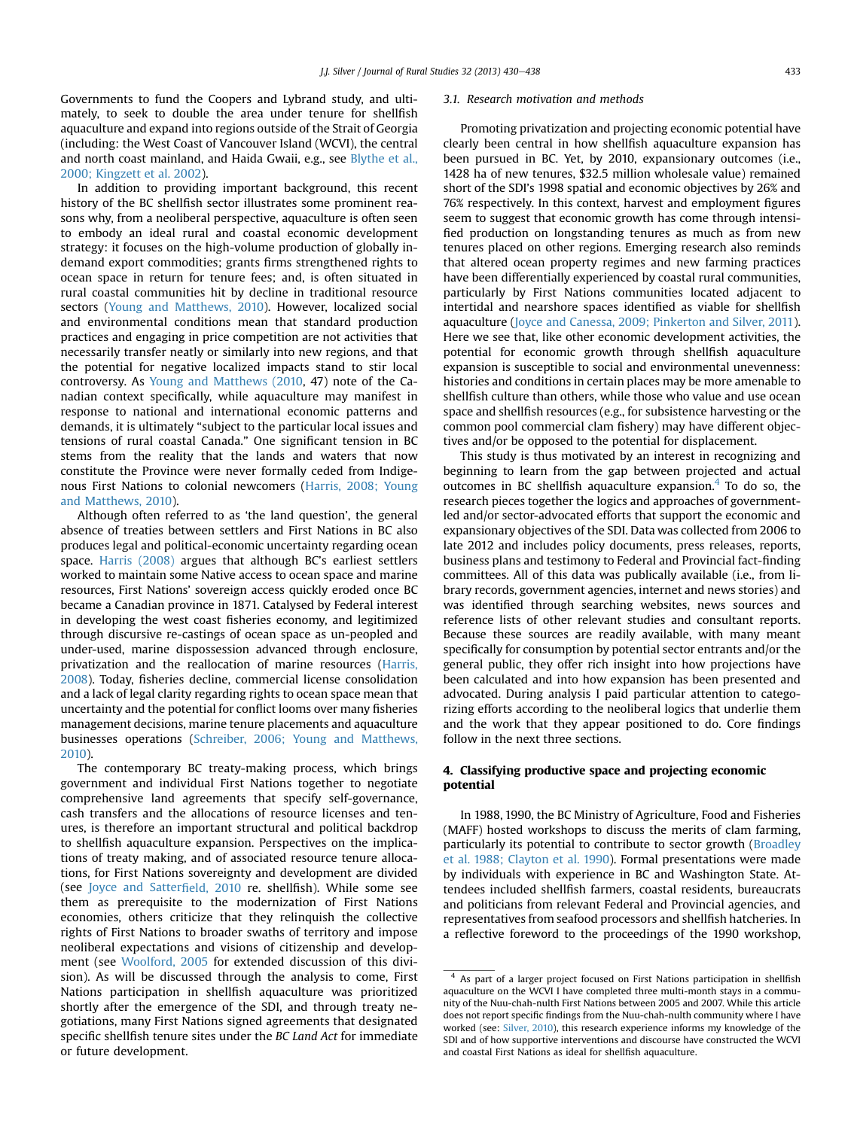Governments to fund the Coopers and Lybrand study, and ultimately, to seek to double the area under tenure for shellfish aquaculture and expand into regions outside of the Strait of Georgia (including: the West Coast of Vancouver Island (WCVI), the central and north coast mainland, and Haida Gwaii, e.g., see [Blythe et al.,](#page-8-0) [2000; Kingzett et al. 2002](#page-8-0)).

In addition to providing important background, this recent history of the BC shellfish sector illustrates some prominent reasons why, from a neoliberal perspective, aquaculture is often seen to embody an ideal rural and coastal economic development strategy: it focuses on the high-volume production of globally indemand export commodities; grants firms strengthened rights to ocean space in return for tenure fees; and, is often situated in rural coastal communities hit by decline in traditional resource sectors [\(Young and Matthews, 2010](#page-8-0)). However, localized social and environmental conditions mean that standard production practices and engaging in price competition are not activities that necessarily transfer neatly or similarly into new regions, and that the potential for negative localized impacts stand to stir local controversy. As [Young and Matthews \(2010,](#page-8-0) 47) note of the Canadian context specifically, while aquaculture may manifest in response to national and international economic patterns and demands, it is ultimately "subject to the particular local issues and tensions of rural coastal Canada." One significant tension in BC stems from the reality that the lands and waters that now constitute the Province were never formally ceded from Indigenous First Nations to colonial newcomers ([Harris, 2008; Young](#page-8-0) [and Matthews, 2010\)](#page-8-0).

Although often referred to as 'the land question', the general absence of treaties between settlers and First Nations in BC also produces legal and political-economic uncertainty regarding ocean space. [Harris \(2008\)](#page-8-0) argues that although BC's earliest settlers worked to maintain some Native access to ocean space and marine resources, First Nations' sovereign access quickly eroded once BC became a Canadian province in 1871. Catalysed by Federal interest in developing the west coast fisheries economy, and legitimized through discursive re-castings of ocean space as un-peopled and under-used, marine dispossession advanced through enclosure, privatization and the reallocation of marine resources ([Harris,](#page-8-0) [2008\)](#page-8-0). Today, fisheries decline, commercial license consolidation and a lack of legal clarity regarding rights to ocean space mean that uncertainty and the potential for conflict looms over many fisheries management decisions, marine tenure placements and aquaculture businesses operations [\(Schreiber, 2006; Young and Matthews,](#page-8-0) [2010\)](#page-8-0).

The contemporary BC treaty-making process, which brings government and individual First Nations together to negotiate comprehensive land agreements that specify self-governance, cash transfers and the allocations of resource licenses and tenures, is therefore an important structural and political backdrop to shellfish aquaculture expansion. Perspectives on the implications of treaty making, and of associated resource tenure allocations, for First Nations sovereignty and development are divided (see [Joyce and Satter](#page-8-0)field, 2010 re. shellfish). While some see them as prerequisite to the modernization of First Nations economies, others criticize that they relinquish the collective rights of First Nations to broader swaths of territory and impose neoliberal expectations and visions of citizenship and development (see [Woolford, 2005](#page-8-0) for extended discussion of this division). As will be discussed through the analysis to come, First Nations participation in shellfish aquaculture was prioritized shortly after the emergence of the SDI, and through treaty negotiations, many First Nations signed agreements that designated specific shellfish tenure sites under the BC Land Act for immediate or future development.

#### 3.1. Research motivation and methods

Promoting privatization and projecting economic potential have clearly been central in how shellfish aquaculture expansion has been pursued in BC. Yet, by 2010, expansionary outcomes (i.e., 1428 ha of new tenures, \$32.5 million wholesale value) remained short of the SDI's 1998 spatial and economic objectives by 26% and 76% respectively. In this context, harvest and employment figures seem to suggest that economic growth has come through intensified production on longstanding tenures as much as from new tenures placed on other regions. Emerging research also reminds that altered ocean property regimes and new farming practices have been differentially experienced by coastal rural communities, particularly by First Nations communities located adjacent to intertidal and nearshore spaces identified as viable for shellfish aquaculture ([Joyce and Canessa, 2009; Pinkerton and Silver, 2011\)](#page-8-0). Here we see that, like other economic development activities, the potential for economic growth through shellfish aquaculture expansion is susceptible to social and environmental unevenness: histories and conditions in certain places may be more amenable to shellfish culture than others, while those who value and use ocean space and shellfish resources (e.g., for subsistence harvesting or the common pool commercial clam fishery) may have different objectives and/or be opposed to the potential for displacement.

This study is thus motivated by an interest in recognizing and beginning to learn from the gap between projected and actual outcomes in BC shellfish aquaculture expansion. $4$  To do so, the research pieces together the logics and approaches of governmentled and/or sector-advocated efforts that support the economic and expansionary objectives of the SDI. Data was collected from 2006 to late 2012 and includes policy documents, press releases, reports, business plans and testimony to Federal and Provincial fact-finding committees. All of this data was publically available (i.e., from library records, government agencies, internet and news stories) and was identified through searching websites, news sources and reference lists of other relevant studies and consultant reports. Because these sources are readily available, with many meant specifically for consumption by potential sector entrants and/or the general public, they offer rich insight into how projections have been calculated and into how expansion has been presented and advocated. During analysis I paid particular attention to categorizing efforts according to the neoliberal logics that underlie them and the work that they appear positioned to do. Core findings follow in the next three sections.

# 4. Classifying productive space and projecting economic potential

In 1988, 1990, the BC Ministry of Agriculture, Food and Fisheries (MAFF) hosted workshops to discuss the merits of clam farming, particularly its potential to contribute to sector growth [\(Broadley](#page-8-0) [et al. 1988; Clayton et al. 1990](#page-8-0)). Formal presentations were made by individuals with experience in BC and Washington State. Attendees included shellfish farmers, coastal residents, bureaucrats and politicians from relevant Federal and Provincial agencies, and representatives from seafood processors and shellfish hatcheries. In a reflective foreword to the proceedings of the 1990 workshop,

As part of a larger project focused on First Nations participation in shellfish aquaculture on the WCVI I have completed three multi-month stays in a community of the Nuu-chah-nulth First Nations between 2005 and 2007. While this article does not report specific findings from the Nuu-chah-nulth community where I have worked (see: [Silver, 2010\)](#page-8-0), this research experience informs my knowledge of the SDI and of how supportive interventions and discourse have constructed the WCVI and coastal First Nations as ideal for shellfish aquaculture.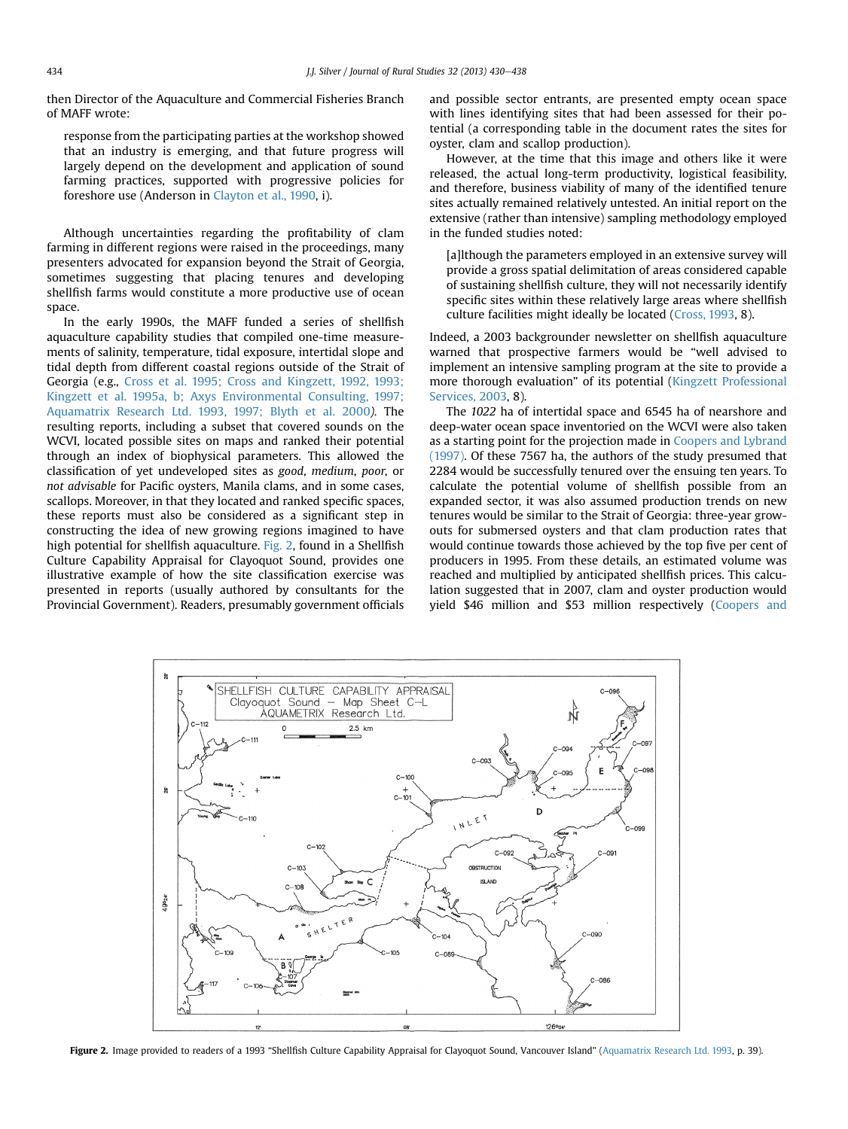then Director of the Aquaculture and Commercial Fisheries Branch of MAFF wrote:

response from the participating parties at the workshop showed that an industry is emerging, and that future progress will largely depend on the development and application of sound farming practices, supported with progressive policies for foreshore use (Anderson in [Clayton et al., 1990,](#page-8-0) i).

Although uncertainties regarding the profitability of clam farming in different regions were raised in the proceedings, many presenters advocated for expansion beyond the Strait of Georgia, sometimes suggesting that placing tenures and developing shellfish farms would constitute a more productive use of ocean space.

In the early 1990s, the MAFF funded a series of shellfish aquaculture capability studies that compiled one-time measurements of salinity, temperature, tidal exposure, intertidal slope and tidal depth from different coastal regions outside of the Strait of Georgia (e.g., [Cross et al. 1995; Cross and Kingzett, 1992, 1993;](#page-8-0) [Kingzett et al. 1995a, b; Axys Environmental Consulting, 1997;](#page-8-0) [Aquamatrix Research Ltd. 1993, 1997; Blyth et al. 2000](#page-8-0)). The resulting reports, including a subset that covered sounds on the WCVI, located possible sites on maps and ranked their potential through an index of biophysical parameters. This allowed the classification of yet undeveloped sites as good, medium, poor, or not advisable for Pacific oysters, Manila clams, and in some cases, scallops. Moreover, in that they located and ranked specific spaces, these reports must also be considered as a significant step in constructing the idea of new growing regions imagined to have high potential for shellfish aquaculture. Fig. 2, found in a Shellfish Culture Capability Appraisal for Clayoquot Sound, provides one illustrative example of how the site classification exercise was presented in reports (usually authored by consultants for the Provincial Government). Readers, presumably government officials and possible sector entrants, are presented empty ocean space with lines identifying sites that had been assessed for their potential (a corresponding table in the document rates the sites for oyster, clam and scallop production).

However, at the time that this image and others like it were released, the actual long-term productivity, logistical feasibility, and therefore, business viability of many of the identified tenure sites actually remained relatively untested. An initial report on the extensive (rather than intensive) sampling methodology employed in the funded studies noted:

[a]lthough the parameters employed in an extensive survey will provide a gross spatial delimitation of areas considered capable of sustaining shellfish culture, they will not necessarily identify specific sites within these relatively large areas where shellfish culture facilities might ideally be located ([Cross, 1993](#page-8-0), 8).

Indeed, a 2003 backgrounder newsletter on shellfish aquaculture warned that prospective farmers would be "well advised to implement an intensive sampling program at the site to provide a more thorough evaluation" of its potential [\(Kingzett Professional](#page-8-0) [Services, 2003](#page-8-0), 8).

The 1022 ha of intertidal space and 6545 ha of nearshore and deep-water ocean space inventoried on the WCVI were also taken as a starting point for the projection made in [Coopers and Lybrand](#page-8-0) [\(1997\)](#page-8-0). Of these 7567 ha, the authors of the study presumed that 2284 would be successfully tenured over the ensuing ten years. To calculate the potential volume of shellfish possible from an expanded sector, it was also assumed production trends on new tenures would be similar to the Strait of Georgia: three-year growouts for submersed oysters and that clam production rates that would continue towards those achieved by the top five per cent of producers in 1995. From these details, an estimated volume was reached and multiplied by anticipated shellfish prices. This calculation suggested that in 2007, clam and oyster production would yield \$46 million and \$53 million respectively ([Coopers and](#page-8-0)



Figure 2. Image provided to readers of a 1993 "Shellfish Culture Capability Appraisal for Clayoquot Sound, Vancouver Island" [\(Aquamatrix Research Ltd. 1993](#page-7-0), p. 39).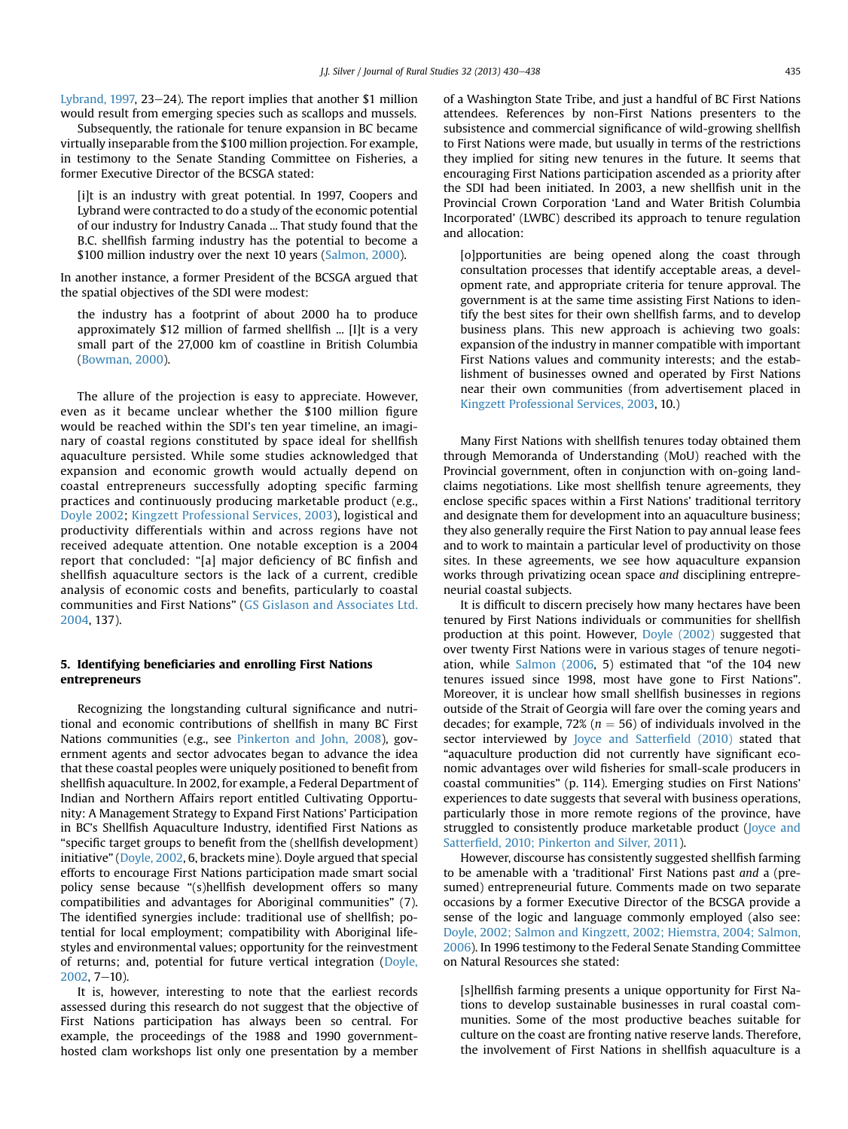Lybrand,  $1997$ ,  $23-24$ ). The report implies that another \$1 million would result from emerging species such as scallops and mussels.

Subsequently, the rationale for tenure expansion in BC became virtually inseparable from the \$100 million projection. For example, in testimony to the Senate Standing Committee on Fisheries, a former Executive Director of the BCSGA stated:

[i]t is an industry with great potential. In 1997, Coopers and Lybrand were contracted to do a study of the economic potential of our industry for Industry Canada ... That study found that the B.C. shellfish farming industry has the potential to become a \$100 million industry over the next 10 years ([Salmon, 2000\)](#page-8-0).

In another instance, a former President of the BCSGA argued that the spatial objectives of the SDI were modest:

the industry has a footprint of about 2000 ha to produce approximately \$12 million of farmed shellfish ... [I]t is a very small part of the 27,000 km of coastline in British Columbia [\(Bowman, 2000\)](#page-8-0).

The allure of the projection is easy to appreciate. However, even as it became unclear whether the \$100 million figure would be reached within the SDI's ten year timeline, an imaginary of coastal regions constituted by space ideal for shellfish aquaculture persisted. While some studies acknowledged that expansion and economic growth would actually depend on coastal entrepreneurs successfully adopting specific farming practices and continuously producing marketable product (e.g., [Doyle 2002](#page-8-0); [Kingzett Professional Services, 2003\)](#page-8-0), logistical and productivity differentials within and across regions have not received adequate attention. One notable exception is a 2004 report that concluded: "[a] major deficiency of BC finfish and shellfish aquaculture sectors is the lack of a current, credible analysis of economic costs and benefits, particularly to coastal communities and First Nations" ([GS Gislason and Associates Ltd.](#page-8-0) [2004](#page-8-0), 137).

# 5. Identifying beneficiaries and enrolling First Nations entrepreneurs

Recognizing the longstanding cultural significance and nutritional and economic contributions of shellfish in many BC First Nations communities (e.g., see [Pinkerton and John, 2008\)](#page-8-0), government agents and sector advocates began to advance the idea that these coastal peoples were uniquely positioned to benefit from shellfish aquaculture. In 2002, for example, a Federal Department of Indian and Northern Affairs report entitled Cultivating Opportunity: A Management Strategy to Expand First Nations' Participation in BC's Shellfish Aquaculture Industry, identified First Nations as "specific target groups to benefit from the (shellfish development) initiative" [\(Doyle, 2002,](#page-8-0) 6, brackets mine). Doyle argued that special efforts to encourage First Nations participation made smart social policy sense because "(s)hellfish development offers so many compatibilities and advantages for Aboriginal communities" (7). The identified synergies include: traditional use of shellfish; potential for local employment; compatibility with Aboriginal lifestyles and environmental values; opportunity for the reinvestment of returns; and, potential for future vertical integration [\(Doyle,](#page-8-0)  $2002, 7-10$  $2002, 7-10$ ).

It is, however, interesting to note that the earliest records assessed during this research do not suggest that the objective of First Nations participation has always been so central. For example, the proceedings of the 1988 and 1990 governmenthosted clam workshops list only one presentation by a member

of a Washington State Tribe, and just a handful of BC First Nations attendees. References by non-First Nations presenters to the subsistence and commercial significance of wild-growing shellfish to First Nations were made, but usually in terms of the restrictions they implied for siting new tenures in the future. It seems that encouraging First Nations participation ascended as a priority after the SDI had been initiated. In 2003, a new shellfish unit in the Provincial Crown Corporation 'Land and Water British Columbia Incorporated' (LWBC) described its approach to tenure regulation and allocation:

[o]pportunities are being opened along the coast through consultation processes that identify acceptable areas, a development rate, and appropriate criteria for tenure approval. The government is at the same time assisting First Nations to identify the best sites for their own shellfish farms, and to develop business plans. This new approach is achieving two goals: expansion of the industry in manner compatible with important First Nations values and community interests; and the establishment of businesses owned and operated by First Nations near their own communities (from advertisement placed in [Kingzett Professional Services, 2003,](#page-8-0) 10.)

Many First Nations with shellfish tenures today obtained them through Memoranda of Understanding (MoU) reached with the Provincial government, often in conjunction with on-going landclaims negotiations. Like most shellfish tenure agreements, they enclose specific spaces within a First Nations' traditional territory and designate them for development into an aquaculture business; they also generally require the First Nation to pay annual lease fees and to work to maintain a particular level of productivity on those sites. In these agreements, we see how aquaculture expansion works through privatizing ocean space and disciplining entrepreneurial coastal subjects.

It is difficult to discern precisely how many hectares have been tenured by First Nations individuals or communities for shellfish production at this point. However, [Doyle \(2002\)](#page-8-0) suggested that over twenty First Nations were in various stages of tenure negotiation, while [Salmon \(2006](#page-8-0), 5) estimated that "of the 104 new tenures issued since 1998, most have gone to First Nations". Moreover, it is unclear how small shellfish businesses in regions outside of the Strait of Georgia will fare over the coming years and decades; for example, 72% ( $n = 56$ ) of individuals involved in the sector interviewed by [Joyce and Satter](#page-8-0)field (2010) stated that "aquaculture production did not currently have significant economic advantages over wild fisheries for small-scale producers in coastal communities" (p. 114). Emerging studies on First Nations' experiences to date suggests that several with business operations, particularly those in more remote regions of the province, have struggled to consistently produce marketable product ([Joyce and](#page-8-0) Satterfi[eld, 2010; Pinkerton and Silver, 2011](#page-8-0)).

However, discourse has consistently suggested shellfish farming to be amenable with a 'traditional' First Nations past and a (presumed) entrepreneurial future. Comments made on two separate occasions by a former Executive Director of the BCSGA provide a sense of the logic and language commonly employed (also see: [Doyle, 2002; Salmon and Kingzett, 2002; Hiemstra, 2004; Salmon,](#page-8-0) [2006\)](#page-8-0). In 1996 testimony to the Federal Senate Standing Committee on Natural Resources she stated:

[s]hellfish farming presents a unique opportunity for First Nations to develop sustainable businesses in rural coastal communities. Some of the most productive beaches suitable for culture on the coast are fronting native reserve lands. Therefore, the involvement of First Nations in shellfish aquaculture is a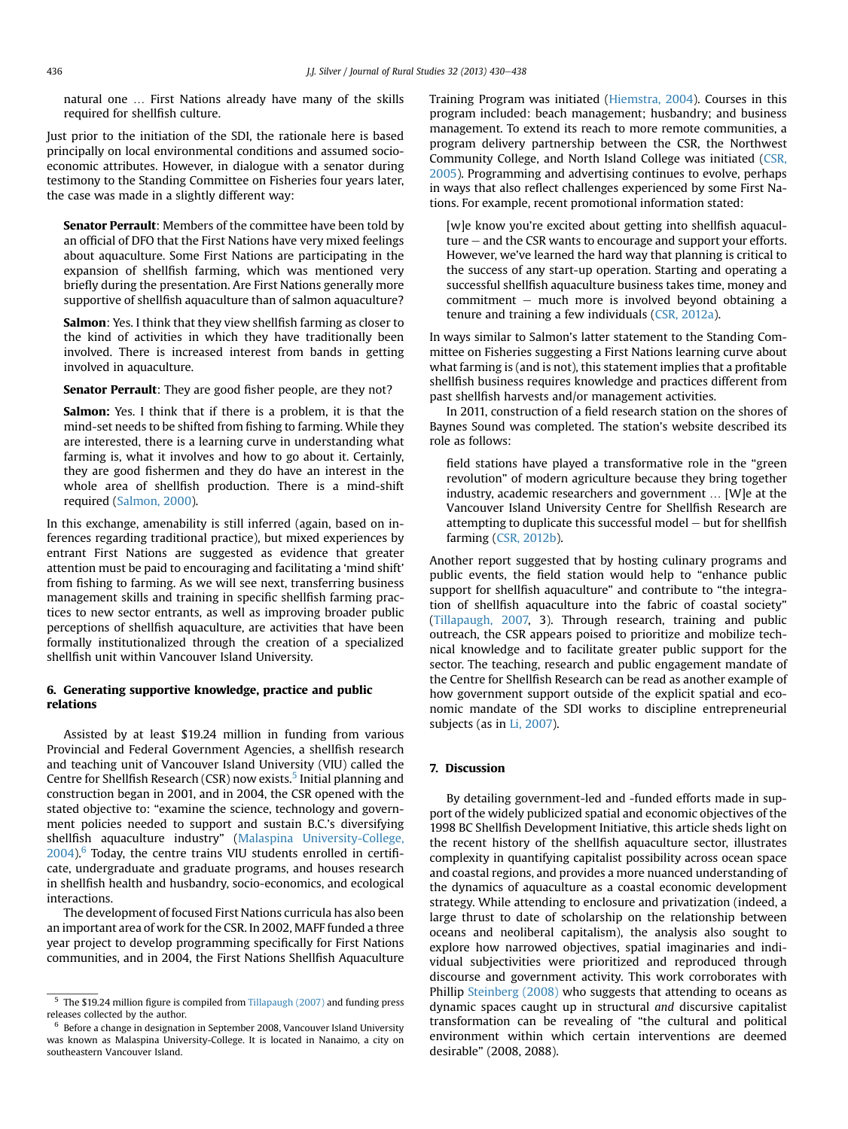natural one ... First Nations already have many of the skills required for shellfish culture.

Just prior to the initiation of the SDI, the rationale here is based principally on local environmental conditions and assumed socioeconomic attributes. However, in dialogue with a senator during testimony to the Standing Committee on Fisheries four years later, the case was made in a slightly different way:

Senator Perrault: Members of the committee have been told by an official of DFO that the First Nations have very mixed feelings about aquaculture. Some First Nations are participating in the expansion of shellfish farming, which was mentioned very briefly during the presentation. Are First Nations generally more supportive of shellfish aquaculture than of salmon aquaculture?

Salmon: Yes. I think that they view shellfish farming as closer to the kind of activities in which they have traditionally been involved. There is increased interest from bands in getting involved in aquaculture.

Senator Perrault: They are good fisher people, are they not?

Salmon: Yes. I think that if there is a problem, it is that the mind-set needs to be shifted from fishing to farming. While they are interested, there is a learning curve in understanding what farming is, what it involves and how to go about it. Certainly, they are good fishermen and they do have an interest in the whole area of shellfish production. There is a mind-shift required [\(Salmon, 2000](#page-8-0)).

In this exchange, amenability is still inferred (again, based on inferences regarding traditional practice), but mixed experiences by entrant First Nations are suggested as evidence that greater attention must be paid to encouraging and facilitating a 'mind shift' from fishing to farming. As we will see next, transferring business management skills and training in specific shellfish farming practices to new sector entrants, as well as improving broader public perceptions of shellfish aquaculture, are activities that have been formally institutionalized through the creation of a specialized shellfish unit within Vancouver Island University.

# 6. Generating supportive knowledge, practice and public relations

Assisted by at least \$19.24 million in funding from various Provincial and Federal Government Agencies, a shellfish research and teaching unit of Vancouver Island University (VIU) called the Centre for Shellfish Research (CSR) now exists.<sup>5</sup> Initial planning and construction began in 2001, and in 2004, the CSR opened with the stated objective to: "examine the science, technology and government policies needed to support and sustain B.C.'s diversifying shellfish aquaculture industry" [\(Malaspina University-College,](#page-8-0)  $2004$ <sup>6</sup>. Today, the centre trains VIU students enrolled in certificate, undergraduate and graduate programs, and houses research in shellfish health and husbandry, socio-economics, and ecological interactions.

The development of focused First Nations curricula has also been an important area of work for the CSR. In 2002, MAFF funded a three year project to develop programming specifically for First Nations communities, and in 2004, the First Nations Shellfish Aquaculture Training Program was initiated ([Hiemstra, 2004\)](#page-8-0). Courses in this program included: beach management; husbandry; and business management. To extend its reach to more remote communities, a program delivery partnership between the CSR, the Northwest Community College, and North Island College was initiated ([CSR,](#page-8-0) [2005](#page-8-0)). Programming and advertising continues to evolve, perhaps in ways that also reflect challenges experienced by some First Nations. For example, recent promotional information stated:

[w]e know you're excited about getting into shellfish aquacul $ture - and the CSR wants to encourage and support your efforts.$ However, we've learned the hard way that planning is critical to the success of any start-up operation. Starting and operating a successful shellfish aquaculture business takes time, money and  $commitment$  – much more is involved beyond obtaining a tenure and training a few individuals [\(CSR, 2012a\)](#page-8-0).

In ways similar to Salmon's latter statement to the Standing Committee on Fisheries suggesting a First Nations learning curve about what farming is (and is not), this statement implies that a profitable shellfish business requires knowledge and practices different from past shellfish harvests and/or management activities.

In 2011, construction of a field research station on the shores of Baynes Sound was completed. The station's website described its role as follows:

field stations have played a transformative role in the "green revolution" of modern agriculture because they bring together industry, academic researchers and government  $\ldots$  [W]e at the Vancouver Island University Centre for Shellfish Research are attempting to duplicate this successful model  $-$  but for shellfish farming [\(CSR, 2012b\)](#page-8-0).

Another report suggested that by hosting culinary programs and public events, the field station would help to "enhance public support for shellfish aquaculture" and contribute to "the integration of shellfish aquaculture into the fabric of coastal society" ([Tillapaugh, 2007,](#page-8-0) 3). Through research, training and public outreach, the CSR appears poised to prioritize and mobilize technical knowledge and to facilitate greater public support for the sector. The teaching, research and public engagement mandate of the Centre for Shellfish Research can be read as another example of how government support outside of the explicit spatial and economic mandate of the SDI works to discipline entrepreneurial subjects (as in [Li, 2007](#page-8-0)).

# 7. Discussion

By detailing government-led and -funded efforts made in support of the widely publicized spatial and economic objectives of the 1998 BC Shellfish Development Initiative, this article sheds light on the recent history of the shellfish aquaculture sector, illustrates complexity in quantifying capitalist possibility across ocean space and coastal regions, and provides a more nuanced understanding of the dynamics of aquaculture as a coastal economic development strategy. While attending to enclosure and privatization (indeed, a large thrust to date of scholarship on the relationship between oceans and neoliberal capitalism), the analysis also sought to explore how narrowed objectives, spatial imaginaries and individual subjectivities were prioritized and reproduced through discourse and government activity. This work corroborates with Phillip [Steinberg \(2008\)](#page-8-0) who suggests that attending to oceans as dynamic spaces caught up in structural and discursive capitalist transformation can be revealing of "the cultural and political environment within which certain interventions are deemed desirable" (2008, 2088).

<sup>5</sup> The \$19.24 million figure is compiled from [Tillapaugh \(2007\)](#page-8-0) and funding press releases collected by the author.

<sup>6</sup> Before a change in designation in September 2008, Vancouver Island University was known as Malaspina University-College. It is located in Nanaimo, a city on southeastern Vancouver Island.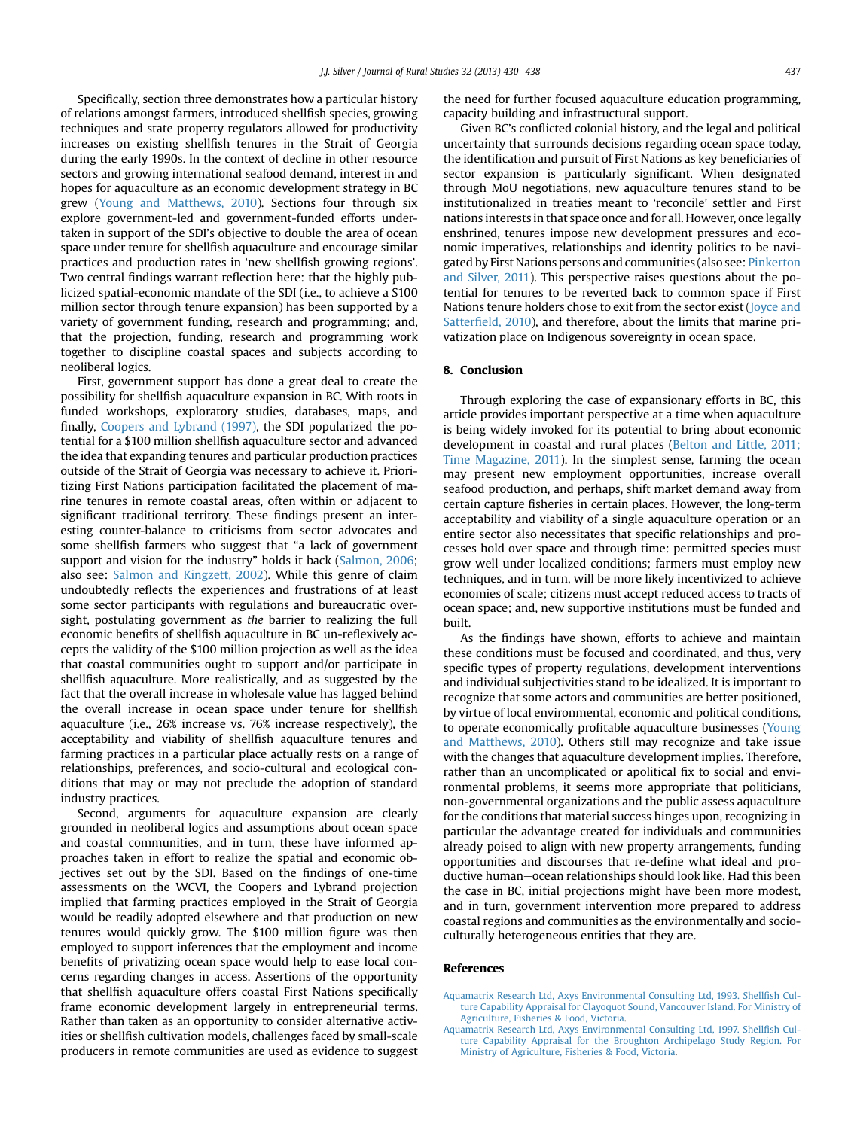<span id="page-7-0"></span>Specifically, section three demonstrates how a particular history of relations amongst farmers, introduced shellfish species, growing techniques and state property regulators allowed for productivity increases on existing shellfish tenures in the Strait of Georgia during the early 1990s. In the context of decline in other resource sectors and growing international seafood demand, interest in and hopes for aquaculture as an economic development strategy in BC grew ([Young and Matthews, 2010\)](#page-8-0). Sections four through six explore government-led and government-funded efforts undertaken in support of the SDI's objective to double the area of ocean space under tenure for shellfish aquaculture and encourage similar practices and production rates in 'new shellfish growing regions'. Two central findings warrant reflection here: that the highly publicized spatial-economic mandate of the SDI (i.e., to achieve a \$100 million sector through tenure expansion) has been supported by a variety of government funding, research and programming; and, that the projection, funding, research and programming work together to discipline coastal spaces and subjects according to neoliberal logics.

First, government support has done a great deal to create the possibility for shellfish aquaculture expansion in BC. With roots in funded workshops, exploratory studies, databases, maps, and finally, [Coopers and Lybrand \(1997\)](#page-8-0), the SDI popularized the potential for a \$100 million shellfish aquaculture sector and advanced the idea that expanding tenures and particular production practices outside of the Strait of Georgia was necessary to achieve it. Prioritizing First Nations participation facilitated the placement of marine tenures in remote coastal areas, often within or adjacent to significant traditional territory. These findings present an interesting counter-balance to criticisms from sector advocates and some shellfish farmers who suggest that "a lack of government support and vision for the industry" holds it back ([Salmon, 2006;](#page-8-0) also see: [Salmon and Kingzett, 2002](#page-8-0)). While this genre of claim undoubtedly reflects the experiences and frustrations of at least some sector participants with regulations and bureaucratic oversight, postulating government as the barrier to realizing the full economic benefits of shellfish aquaculture in BC un-reflexively accepts the validity of the \$100 million projection as well as the idea that coastal communities ought to support and/or participate in shellfish aquaculture. More realistically, and as suggested by the fact that the overall increase in wholesale value has lagged behind the overall increase in ocean space under tenure for shellfish aquaculture (i.e., 26% increase vs. 76% increase respectively), the acceptability and viability of shellfish aquaculture tenures and farming practices in a particular place actually rests on a range of relationships, preferences, and socio-cultural and ecological conditions that may or may not preclude the adoption of standard industry practices.

Second, arguments for aquaculture expansion are clearly grounded in neoliberal logics and assumptions about ocean space and coastal communities, and in turn, these have informed approaches taken in effort to realize the spatial and economic objectives set out by the SDI. Based on the findings of one-time assessments on the WCVI, the Coopers and Lybrand projection implied that farming practices employed in the Strait of Georgia would be readily adopted elsewhere and that production on new tenures would quickly grow. The \$100 million figure was then employed to support inferences that the employment and income benefits of privatizing ocean space would help to ease local concerns regarding changes in access. Assertions of the opportunity that shellfish aquaculture offers coastal First Nations specifically frame economic development largely in entrepreneurial terms. Rather than taken as an opportunity to consider alternative activities or shellfish cultivation models, challenges faced by small-scale producers in remote communities are used as evidence to suggest the need for further focused aquaculture education programming, capacity building and infrastructural support.

Given BC's conflicted colonial history, and the legal and political uncertainty that surrounds decisions regarding ocean space today, the identification and pursuit of First Nations as key beneficiaries of sector expansion is particularly significant. When designated through MoU negotiations, new aquaculture tenures stand to be institutionalized in treaties meant to 'reconcile' settler and First nations interests in that space once and for all. However, once legally enshrined, tenures impose new development pressures and economic imperatives, relationships and identity politics to be navigated by First Nations persons and communities (also see: [Pinkerton](#page-8-0) [and Silver, 2011](#page-8-0)). This perspective raises questions about the potential for tenures to be reverted back to common space if First Nations tenure holders chose to exit from the sector exist [\(Joyce and](#page-8-0) Satterfi[eld, 2010](#page-8-0)), and therefore, about the limits that marine privatization place on Indigenous sovereignty in ocean space.

#### 8. Conclusion

Through exploring the case of expansionary efforts in BC, this article provides important perspective at a time when aquaculture is being widely invoked for its potential to bring about economic development in coastal and rural places ([Belton and Little, 2011;](#page-8-0) [Time Magazine, 2011\)](#page-8-0). In the simplest sense, farming the ocean may present new employment opportunities, increase overall seafood production, and perhaps, shift market demand away from certain capture fisheries in certain places. However, the long-term acceptability and viability of a single aquaculture operation or an entire sector also necessitates that specific relationships and processes hold over space and through time: permitted species must grow well under localized conditions; farmers must employ new techniques, and in turn, will be more likely incentivized to achieve economies of scale; citizens must accept reduced access to tracts of ocean space; and, new supportive institutions must be funded and built.

As the findings have shown, efforts to achieve and maintain these conditions must be focused and coordinated, and thus, very specific types of property regulations, development interventions and individual subjectivities stand to be idealized. It is important to recognize that some actors and communities are better positioned, by virtue of local environmental, economic and political conditions, to operate economically profitable aquaculture businesses ([Young](#page-8-0) [and Matthews, 2010\)](#page-8-0). Others still may recognize and take issue with the changes that aquaculture development implies. Therefore, rather than an uncomplicated or apolitical fix to social and environmental problems, it seems more appropriate that politicians, non-governmental organizations and the public assess aquaculture for the conditions that material success hinges upon, recognizing in particular the advantage created for individuals and communities already poised to align with new property arrangements, funding opportunities and discourses that re-define what ideal and productive human–ocean relationships should look like. Had this been the case in BC, initial projections might have been more modest, and in turn, government intervention more prepared to address coastal regions and communities as the environmentally and socioculturally heterogeneous entities that they are.

#### References

- [Aquamatrix Research Ltd, Axys Environmental Consulting Ltd, 1993. Shell](http://refhub.elsevier.com/S0743-0167(13)00074-0/sref2)fish Cul[ture Capability Appraisal for Clayoquot Sound, Vancouver Island. For Ministry of](http://refhub.elsevier.com/S0743-0167(13)00074-0/sref2) [Agriculture, Fisheries & Food, Victoria.](http://refhub.elsevier.com/S0743-0167(13)00074-0/sref2)
- [Aquamatrix Research Ltd, Axys Environmental Consulting Ltd, 1997. Shell](http://refhub.elsevier.com/S0743-0167(13)00074-0/sref3)fish Cul[ture Capability Appraisal for the Broughton Archipelago Study Region. For](http://refhub.elsevier.com/S0743-0167(13)00074-0/sref3) [Ministry of Agriculture, Fisheries & Food, Victoria](http://refhub.elsevier.com/S0743-0167(13)00074-0/sref3).